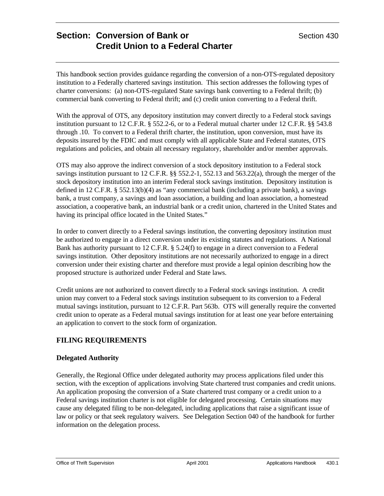This handbook section provides guidance regarding the conversion of a non-OTS-regulated depository institution to a Federally chartered savings institution. This section addresses the following types of charter conversions: (a) non-OTS-regulated State savings bank converting to a Federal thrift; (b) commercial bank converting to Federal thrift; and (c) credit union converting to a Federal thrift.

With the approval of OTS, any depository institution may convert directly to a Federal stock savings institution pursuant to 12 C.F.R. § 552.2-6, or to a Federal mutual charter under 12 C.F.R. §§ 543.8 through .10. To convert to a Federal thrift charter, the institution, upon conversion, must have its deposits insured by the FDIC and must comply with all applicable State and Federal statutes, OTS regulations and policies, and obtain all necessary regulatory, shareholder and/or member approvals.

OTS may also approve the indirect conversion of a stock depository institution to a Federal stock savings institution pursuant to 12 C.F.R. §§ 552.2-1, 552.13 and 563.22(a), through the merger of the stock depository institution into an interim Federal stock savings institution. Depository institution is defined in 12 C.F.R. § 552.13(b)(4) as "any commercial bank (including a private bank), a savings bank, a trust company, a savings and loan association, a building and loan association, a homestead association, a cooperative bank, an industrial bank or a credit union, chartered in the United States and having its principal office located in the United States."

In order to convert directly to a Federal savings institution, the converting depository institution must be authorized to engage in a direct conversion under its existing statutes and regulations. A National Bank has authority pursuant to 12 C.F.R. § 5.24(f) to engage in a direct conversion to a Federal savings institution. Other depository institutions are not necessarily authorized to engage in a direct conversion under their existing charter and therefore must provide a legal opinion describing how the proposed structure is authorized under Federal and State laws.

Credit unions are not authorized to convert directly to a Federal stock savings institution. A credit union may convert to a Federal stock savings institution subsequent to its conversion to a Federal mutual savings institution, pursuant to 12 C.F.R. Part 563b. OTS will generally require the converted credit union to operate as a Federal mutual savings institution for at least one year before entertaining an application to convert to the stock form of organization.

## **FILING REQUIREMENTS**

### **Delegated Authority**

Generally, the Regional Office under delegated authority may process applications filed under this section, with the exception of applications involving State chartered trust companies and credit unions. An application proposing the conversion of a State chartered trust company or a credit union to a Federal savings institution charter is not eligible for delegated processing. Certain situations may cause any delegated filing to be non-delegated, including applications that raise a significant issue of law or policy or that seek regulatory waivers. See Delegation Section 040 of the handbook for further information on the delegation process.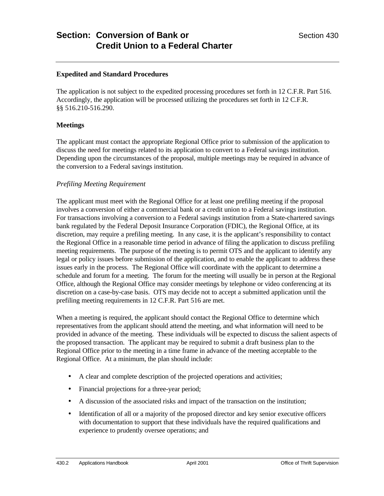#### **Expedited and Standard Procedures**

The application is not subject to the expedited processing procedures set forth in 12 C.F.R. Part 516. Accordingly, the application will be processed utilizing the procedures set forth in 12 C.F.R. §§ 516.210-516.290.

#### **Meetings**

The applicant must contact the appropriate Regional Office prior to submission of the application to discuss the need for meetings related to its application to convert to a Federal savings institution. Depending upon the circumstances of the proposal, multiple meetings may be required in advance of the conversion to a Federal savings institution.

#### *Prefiling Meeting Requirement*

The applicant must meet with the Regional Office for at least one prefiling meeting if the proposal involves a conversion of either a commercial bank or a credit union to a Federal savings institution. For transactions involving a conversion to a Federal savings institution from a State-chartered savings bank regulated by the Federal Deposit Insurance Corporation (FDIC), the Regional Office, at its discretion, may require a prefiling meeting. In any case, it is the applicant's responsibility to contact the Regional Office in a reasonable time period in advance of filing the application to discuss prefiling meeting requirements. The purpose of the meeting is to permit OTS and the applicant to identify any legal or policy issues before submission of the application, and to enable the applicant to address these issues early in the process. The Regional Office will coordinate with the applicant to determine a schedule and forum for a meeting. The forum for the meeting will usually be in person at the Regional Office, although the Regional Office may consider meetings by telephone or video conferencing at its discretion on a case-by-case basis. OTS may decide not to accept a submitted application until the prefiling meeting requirements in 12 C.F.R. Part 516 are met.

When a meeting is required, the applicant should contact the Regional Office to determine which representatives from the applicant should attend the meeting, and what information will need to be provided in advance of the meeting. These individuals will be expected to discuss the salient aspects of the proposed transaction. The applicant may be required to submit a draft business plan to the Regional Office prior to the meeting in a time frame in advance of the meeting acceptable to the Regional Office. At a minimum, the plan should include:

- A clear and complete description of the projected operations and activities;
- Financial projections for a three-year period;
- A discussion of the associated risks and impact of the transaction on the institution;
- Identification of all or a majority of the proposed director and key senior executive officers with documentation to support that these individuals have the required qualifications and experience to prudently oversee operations; and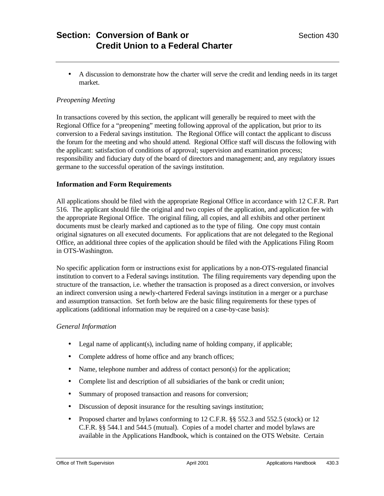• A discussion to demonstrate how the charter will serve the credit and lending needs in its target market.

## *Preopening Meeting*

In transactions covered by this section, the applicant will generally be required to meet with the Regional Office for a "preopening" meeting following approval of the application, but prior to its conversion to a Federal savings institution. The Regional Office will contact the applicant to discuss the forum for the meeting and who should attend. Regional Office staff will discuss the following with the applicant: satisfaction of conditions of approval; supervision and examination process; responsibility and fiduciary duty of the board of directors and management; and, any regulatory issues germane to the successful operation of the savings institution.

### **Information and Form Requirements**

All applications should be filed with the appropriate Regional Office in accordance with 12 C.F.R. Part 516. The applicant should file the original and two copies of the application, and application fee with the appropriate Regional Office. The original filing, all copies, and all exhibits and other pertinent documents must be clearly marked and captioned as to the type of filing. One copy must contain original signatures on all executed documents. For applications that are not delegated to the Regional Office, an additional three copies of the application should be filed with the Applications Filing Room in OTS-Washington.

No specific application form or instructions exist for applications by a non-OTS-regulated financial institution to convert to a Federal savings institution. The filing requirements vary depending upon the structure of the transaction, i.e. whether the transaction is proposed as a direct conversion, or involves an indirect conversion using a newly-chartered Federal savings institution in a merger or a purchase and assumption transaction. Set forth below are the basic filing requirements for these types of applications (additional information may be required on a case-by-case basis):

#### *General Information*

- Legal name of applicant(s), including name of holding company, if applicable;
- Complete address of home office and any branch offices;
- Name, telephone number and address of contact person(s) for the application;
- Complete list and description of all subsidiaries of the bank or credit union;
- Summary of proposed transaction and reasons for conversion;
- Discussion of deposit insurance for the resulting savings institution;
- Proposed charter and bylaws conforming to 12 C.F.R. §§ 552.3 and 552.5 (stock) or 12 C.F.R. §§ 544.1 and 544.5 (mutual). Copies of a model charter and model bylaws are available in the Applications Handbook, which is contained on the OTS Website. Certain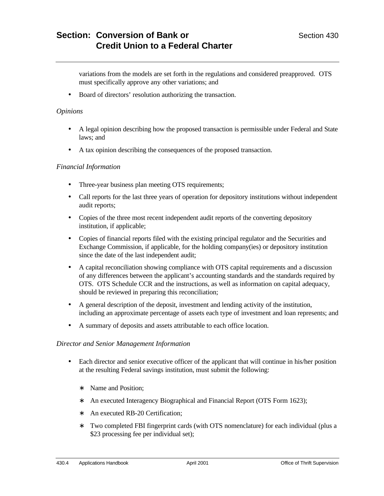variations from the models are set forth in the regulations and considered preapproved. OTS must specifically approve any other variations; and

• Board of directors' resolution authorizing the transaction.

#### *Opinions*

- A legal opinion describing how the proposed transaction is permissible under Federal and State laws; and
- A tax opinion describing the consequences of the proposed transaction.

#### *Financial Information*

- Three-year business plan meeting OTS requirements;
- Call reports for the last three years of operation for depository institutions without independent audit reports;
- Copies of the three most recent independent audit reports of the converting depository institution, if applicable;
- Copies of financial reports filed with the existing principal regulator and the Securities and Exchange Commission, if applicable, for the holding company(ies) or depository institution since the date of the last independent audit;
- A capital reconciliation showing compliance with OTS capital requirements and a discussion of any differences between the applicant's accounting standards and the standards required by OTS. OTS Schedule CCR and the instructions, as well as information on capital adequacy, should be reviewed in preparing this reconciliation;
- A general description of the deposit, investment and lending activity of the institution, including an approximate percentage of assets each type of investment and loan represents; and
- A summary of deposits and assets attributable to each office location.

#### *Director and Senior Management Information*

- Each director and senior executive officer of the applicant that will continue in his/her position at the resulting Federal savings institution, must submit the following:
	- ∗ Name and Position;
	- ∗ An executed Interagency Biographical and Financial Report (OTS Form 1623);
	- ∗ An executed RB-20 Certification;
	- ∗ Two completed FBI fingerprint cards (with OTS nomenclature) for each individual (plus a \$23 processing fee per individual set);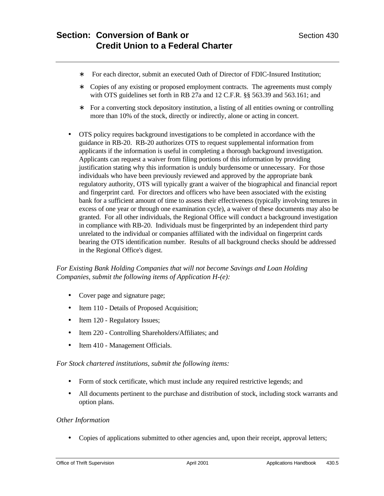- ∗ For each director, submit an executed Oath of Director of FDIC-Insured Institution;
- ∗ Copies of any existing or proposed employment contracts. The agreements must comply with OTS guidelines set forth in RB 27a and 12 C.F.R. §§ 563.39 and 563.161; and
- ∗ For a converting stock depository institution, a listing of all entities owning or controlling more than 10% of the stock, directly or indirectly, alone or acting in concert.
- OTS policy requires background investigations to be completed in accordance with the guidance in RB-20. RB-20 authorizes OTS to request supplemental information from applicants if the information is useful in completing a thorough background investigation. Applicants can request a waiver from filing portions of this information by providing justification stating why this information is unduly burdensome or unnecessary. For those individuals who have been previously reviewed and approved by the appropriate bank regulatory authority, OTS will typically grant a waiver of the biographical and financial report and fingerprint card. For directors and officers who have been associated with the existing bank for a sufficient amount of time to assess their effectiveness (typically involving tenures in excess of one year or through one examination cycle), a waiver of these documents may also be granted. For all other individuals, the Regional Office will conduct a background investigation in compliance with RB-20. Individuals must be fingerprinted by an independent third party unrelated to the individual or companies affiliated with the individual on fingerprint cards bearing the OTS identification number. Results of all background checks should be addressed in the Regional Office's digest.

## *For Existing Bank Holding Companies that will not become Savings and Loan Holding Companies, submit the following items of Application H-(e):*

- Cover page and signature page;
- Item 110 Details of Proposed Acquisition;
- Item 120 Regulatory Issues;
- Item 220 Controlling Shareholders/Affiliates; and
- Item 410 Management Officials.

*For Stock chartered institutions, submit the following items:*

- Form of stock certificate, which must include any required restrictive legends; and
- All documents pertinent to the purchase and distribution of stock, including stock warrants and option plans.

### *Other Information*

• Copies of applications submitted to other agencies and, upon their receipt, approval letters;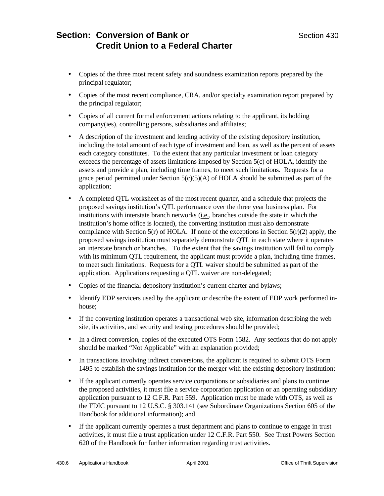- Copies of the three most recent safety and soundness examination reports prepared by the principal regulator;
- Copies of the most recent compliance, CRA, and/or specialty examination report prepared by the principal regulator;
- Copies of all current formal enforcement actions relating to the applicant, its holding company(ies), controlling persons, subsidiaries and affiliates;
- A description of the investment and lending activity of the existing depository institution, including the total amount of each type of investment and loan, as well as the percent of assets each category constitutes. To the extent that any particular investment or loan category exceeds the percentage of assets limitations imposed by Section 5(c) of HOLA, identify the assets and provide a plan, including time frames, to meet such limitations. Requests for a grace period permitted under Section  $5(c)(5)(A)$  of HOLA should be submitted as part of the application;
- A completed QTL worksheet as of the most recent quarter, and a schedule that projects the proposed savings institution's QTL performance over the three year business plan. For institutions with interstate branch networks (i.e., branches outside the state in which the institution's home office is located), the converting institution must also demonstrate compliance with Section 5(r) of HOLA. If none of the exceptions in Section 5(r)(2) apply, the proposed savings institution must separately demonstrate QTL in each state where it operates an interstate branch or branches. To the extent that the savings institution will fail to comply with its minimum QTL requirement, the applicant must provide a plan, including time frames, to meet such limitations. Requests for a QTL waiver should be submitted as part of the application. Applications requesting a QTL waiver are non-delegated;
- Copies of the financial depository institution's current charter and bylaws;
- Identify EDP servicers used by the applicant or describe the extent of EDP work performed inhouse;
- If the converting institution operates a transactional web site, information describing the web site, its activities, and security and testing procedures should be provided;
- In a direct conversion, copies of the executed OTS Form 1582. Any sections that do not apply should be marked "Not Applicable" with an explanation provided;
- In transactions involving indirect conversions, the applicant is required to submit OTS Form 1495 to establish the savings institution for the merger with the existing depository institution;
- If the applicant currently operates service corporations or subsidiaries and plans to continue the proposed activities, it must file a service corporation application or an operating subsidiary application pursuant to 12 C.F.R. Part 559. Application must be made with OTS, as well as the FDIC pursuant to 12 U.S.C. § 303.141 (see Subordinate Organizations Section 605 of the Handbook for additional information); and
- If the applicant currently operates a trust department and plans to continue to engage in trust activities, it must file a trust application under 12 C.F.R. Part 550. See Trust Powers Section 620 of the Handbook for further information regarding trust activities.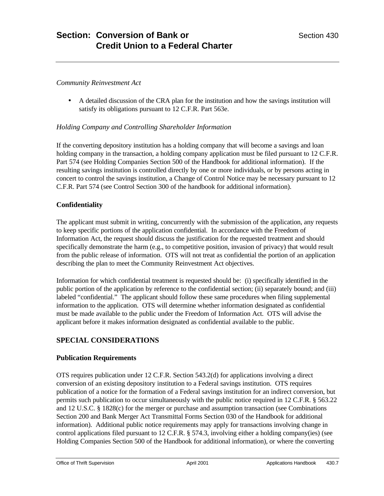#### *Community Reinvestment Act*

• A detailed discussion of the CRA plan for the institution and how the savings institution will satisfy its obligations pursuant to 12 C.F.R. Part 563e.

#### *Holding Company and Controlling Shareholder Information*

If the converting depository institution has a holding company that will become a savings and loan holding company in the transaction, a holding company application must be filed pursuant to 12 C.F.R. Part 574 (see Holding Companies Section 500 of the Handbook for additional information). If the resulting savings institution is controlled directly by one or more individuals, or by persons acting in concert to control the savings institution, a Change of Control Notice may be necessary pursuant to 12 C.F.R. Part 574 (see Control Section 300 of the handbook for additional information).

### **Confidentiality**

The applicant must submit in writing, concurrently with the submission of the application, any requests to keep specific portions of the application confidential. In accordance with the Freedom of Information Act, the request should discuss the justification for the requested treatment and should specifically demonstrate the harm (e.g., to competitive position, invasion of privacy) that would result from the public release of information. OTS will not treat as confidential the portion of an application describing the plan to meet the Community Reinvestment Act objectives.

Information for which confidential treatment is requested should be: (i) specifically identified in the public portion of the application by reference to the confidential section; (ii) separately bound; and (iii) labeled "confidential." The applicant should follow these same procedures when filing supplemental information to the application. OTS will determine whether information designated as confidential must be made available to the public under the Freedom of Information Act. OTS will advise the applicant before it makes information designated as confidential available to the public.

### **SPECIAL CONSIDERATIONS**

#### **Publication Requirements**

OTS requires publication under 12 C.F.R. Section 543.2(d) for applications involving a direct conversion of an existing depository institution to a Federal savings institution. OTS requires publication of a notice for the formation of a Federal savings institution for an indirect conversion, but permits such publication to occur simultaneously with the public notice required in 12 C.F.R. § 563.22 and 12 U.S.C. § 1828(c) for the merger or purchase and assumption transaction (see Combinations Section 200 and Bank Merger Act Transmittal Forms Section 030 of the Handbook for additional information). Additional public notice requirements may apply for transactions involving change in control applications filed pursuant to 12 C.F.R. § 574.3, involving either a holding company(ies) (see Holding Companies Section 500 of the Handbook for additional information), or where the converting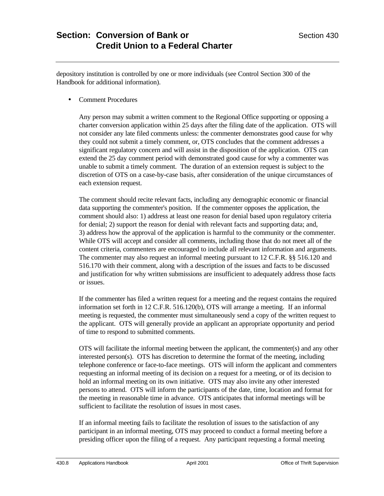depository institution is controlled by one or more individuals (see Control Section 300 of the Handbook for additional information).

• Comment Procedures

Any person may submit a written comment to the Regional Office supporting or opposing a charter conversion application within 25 days after the filing date of the application. OTS will not consider any late filed comments unless: the commenter demonstrates good cause for why they could not submit a timely comment, or, OTS concludes that the comment addresses a significant regulatory concern and will assist in the disposition of the application. OTS can extend the 25 day comment period with demonstrated good cause for why a commenter was unable to submit a timely comment. The duration of an extension request is subject to the discretion of OTS on a case-by-case basis, after consideration of the unique circumstances of each extension request.

The comment should recite relevant facts, including any demographic economic or financial data supporting the commenter's position. If the commenter opposes the application, the comment should also: 1) address at least one reason for denial based upon regulatory criteria for denial; 2) support the reason for denial with relevant facts and supporting data; and, 3) address how the approval of the application is harmful to the community or the commenter. While OTS will accept and consider all comments, including those that do not meet all of the content criteria, commenters are encouraged to include all relevant information and arguments. The commenter may also request an informal meeting pursuant to 12 C.F.R. §§ 516.120 and 516.170 with their comment, along with a description of the issues and facts to be discussed and justification for why written submissions are insufficient to adequately address those facts or issues.

If the commenter has filed a written request for a meeting and the request contains the required information set forth in 12 C.F.R. 516.120(b), OTS will arrange a meeting. If an informal meeting is requested, the commenter must simultaneously send a copy of the written request to the applicant. OTS will generally provide an applicant an appropriate opportunity and period of time to respond to submitted comments.

OTS will facilitate the informal meeting between the applicant, the commenter(s) and any other interested person(s). OTS has discretion to determine the format of the meeting, including telephone conference or face-to-face meetings. OTS will inform the applicant and commenters requesting an informal meeting of its decision on a request for a meeting, or of its decision to hold an informal meeting on its own initiative. OTS may also invite any other interested persons to attend. OTS will inform the participants of the date, time, location and format for the meeting in reasonable time in advance. OTS anticipates that informal meetings will be sufficient to facilitate the resolution of issues in most cases.

If an informal meeting fails to facilitate the resolution of issues to the satisfaction of any participant in an informal meeting, OTS may proceed to conduct a formal meeting before a presiding officer upon the filing of a request. Any participant requesting a formal meeting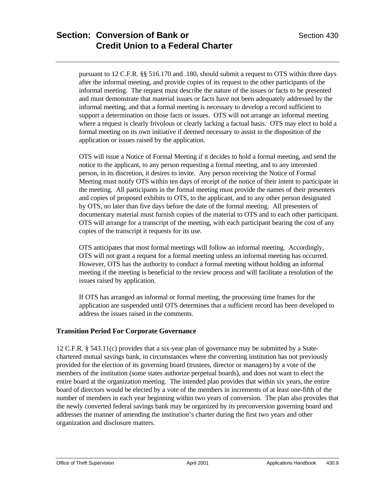pursuant to 12 C.F.R. §§ 516.170 and .180, should submit a request to OTS within three days after the informal meeting, and provide copies of its request to the other participants of the informal meeting. The request must describe the nature of the issues or facts to be presented and must demonstrate that material issues or facts have not been adequately addressed by the informal meeting, and that a formal meeting is necessary to develop a record sufficient to support a determination on those facts or issues. OTS will not arrange an informal meeting where a request is clearly frivolous or clearly lacking a factual basis. OTS may elect to hold a formal meeting on its own initiative if deemed necessary to assist in the disposition of the application or issues raised by the application.

OTS will issue a Notice of Formal Meeting if it decides to hold a formal meeting, and send the notice to the applicant, to any person requesting a formal meeting, and to any interested person, in its discretion, it desires to invite. Any person receiving the Notice of Formal Meeting must notify OTS within ten days of receipt of the notice of their intent to participate in the meeting. All participants in the formal meeting must provide the names of their presenters and copies of proposed exhibits to OTS, to the applicant, and to any other person designated by OTS, no later than five days before the date of the formal meeting. All presenters of documentary material must furnish copies of the material to OTS and to each other participant. OTS will arrange for a transcript of the meeting, with each participant bearing the cost of any copies of the transcript it requests for its use.

OTS anticipates that most formal meetings will follow an informal meeting. Accordingly, OTS will not grant a request for a formal meeting unless an informal meeting has occurred. However, OTS has the authority to conduct a formal meeting without holding an informal meeting if the meeting is beneficial to the review process and will facilitate a resolution of the issues raised by application.

If OTS has arranged an informal or formal meeting, the processing time frames for the application are suspended until OTS determines that a sufficient record has been developed to address the issues raised in the comments.

### **Transition Period For Corporate Governance**

12 C.F.R. § 543.11(c) provides that a six-year plan of governance may be submitted by a Statechartered mutual savings bank, in circumstances where the converting institution has not previously provided for the election of its governing board (trustees, director or managers) by a vote of the members of the institution (some states authorize perpetual boards), and does not want to elect the entire board at the organization meeting. The intended plan provides that within six years, the entire board of directors would be elected by a vote of the members in increments of at least one-fifth of the number of members in each year beginning within two years of conversion. The plan also provides that the newly converted federal savings bank may be organized by its preconversion governing board and addresses the manner of amending the institution's charter during the first two years and other organization and disclosure matters.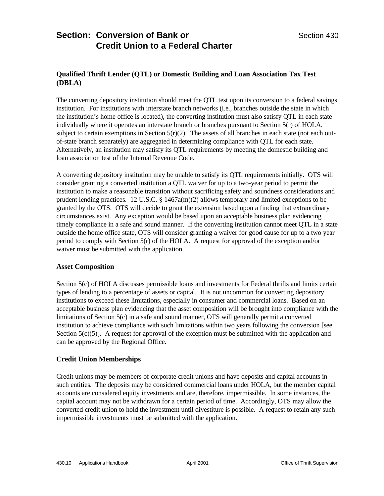## **Qualified Thrift Lender (QTL) or Domestic Building and Loan Association Tax Test (DBLA)**

The converting depository institution should meet the QTL test upon its conversion to a federal savings institution. For institutions with interstate branch networks (i.e., branches outside the state in which the institution's home office is located), the converting institution must also satisfy QTL in each state individually where it operates an interstate branch or branches pursuant to Section 5(r) of HOLA, subject to certain exemptions in Section  $5(r)(2)$ . The assets of all branches in each state (not each outof-state branch separately) are aggregated in determining compliance with QTL for each state. Alternatively, an institution may satisfy its QTL requirements by meeting the domestic building and loan association test of the Internal Revenue Code.

A converting depository institution may be unable to satisfy its QTL requirements initially. OTS will consider granting a converted institution a QTL waiver for up to a two-year period to permit the institution to make a reasonable transition without sacrificing safety and soundness considerations and prudent lending practices. 12 U.S.C.  $\S$  1467a(m)(2) allows temporary and limited exceptions to be granted by the OTS. OTS will decide to grant the extension based upon a finding that extraordinary circumstances exist. Any exception would be based upon an acceptable business plan evidencing timely compliance in a safe and sound manner. If the converting institution cannot meet QTL in a state outside the home office state, OTS will consider granting a waiver for good cause for up to a two year period to comply with Section 5(r) of the HOLA. A request for approval of the exception and/or waiver must be submitted with the application.

### **Asset Composition**

Section 5(c) of HOLA discusses permissible loans and investments for Federal thrifts and limits certain types of lending to a percentage of assets or capital. It is not uncommon for converting depository institutions to exceed these limitations, especially in consumer and commercial loans. Based on an acceptable business plan evidencing that the asset composition will be brought into compliance with the limitations of Section 5(c) in a safe and sound manner, OTS will generally permit a converted institution to achieve compliance with such limitations within two years following the conversion [see Section  $5(c)(5)$ ]. A request for approval of the exception must be submitted with the application and can be approved by the Regional Office.

### **Credit Union Memberships**

Credit unions may be members of corporate credit unions and have deposits and capital accounts in such entities. The deposits may be considered commercial loans under HOLA, but the member capital accounts are considered equity investments and are, therefore, impermissible. In some instances, the capital account may not be withdrawn for a certain period of time. Accordingly, OTS may allow the converted credit union to hold the investment until divestiture is possible. A request to retain any such impermissible investments must be submitted with the application.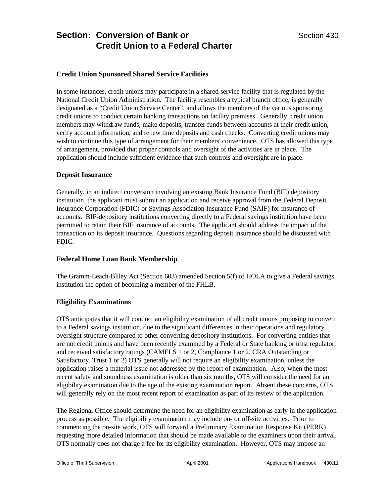## **Credit Union Sponsored Shared Service Facilities**

In some instances, credit unions may participate in a shared service facility that is regulated by the National Credit Union Administration. The facility resembles a typical branch office, is generally designated as a "Credit Union Service Center", and allows the members of the various sponsoring credit unions to conduct certain banking transactions on facility premises. Generally, credit union members may withdraw funds, make deposits, transfer funds between accounts at their credit union, verify account information, and renew time deposits and cash checks. Converting credit unions may wish to continue this type of arrangement for their members' convenience. OTS has allowed this type of arrangement, provided that proper controls and oversight of the activities are in place. The application should include sufficient evidence that such controls and oversight are in place.

#### **Deposit Insurance**

Generally, in an indirect conversion involving an existing Bank Insurance Fund (BIF) depository institution, the applicant must submit an application and receive approval from the Federal Deposit Insurance Corporation (FDIC) or Savings Association Insurance Fund (SAIF) for insurance of accounts. BIF-depository institutions converting directly to a Federal savings institution have been permitted to retain their BIF insurance of accounts. The applicant should address the impact of the transaction on its deposit insurance. Questions regarding deposit insurance should be discussed with FDIC.

### **Federal Home Loan Bank Membership**

The Gramm-Leach-Bliley Act (Section 603) amended Section 5(f) of HOLA to give a Federal savings institution the option of becoming a member of the FHLB.

### **Eligibility Examinations**

OTS anticipates that it will conduct an eligibility examination of all credit unions proposing to convert to a Federal savings institution, due to the significant differences in their operations and regulatory oversight structure compared to other converting depository institutions. For converting entities that are not credit unions and have been recently examined by a Federal or State banking or trust regulator, and received satisfactory ratings (CAMELS 1 or 2, Compliance 1 or 2, CRA Outstanding or Satisfactory, Trust 1 or 2) OTS generally will not require an eligibility examination, unless the application raises a material issue not addressed by the report of examination. Also, when the most recent safety and soundness examination is older than six months, OTS will consider the need for an eligibility examination due to the age of the existing examination report. Absent these concerns, OTS will generally rely on the most recent report of examination as part of its review of the application.

The Regional Office should determine the need for an eligibility examination as early in the application process as possible. The eligibility examination may include on- or off-site activities. Prior to commencing the on-site work, OTS will forward a Preliminary Examination Response Kit (PERK) requesting more detailed information that should be made available to the examiners upon their arrival. OTS normally does not charge a fee for its eligibility examination. However, OTS may impose an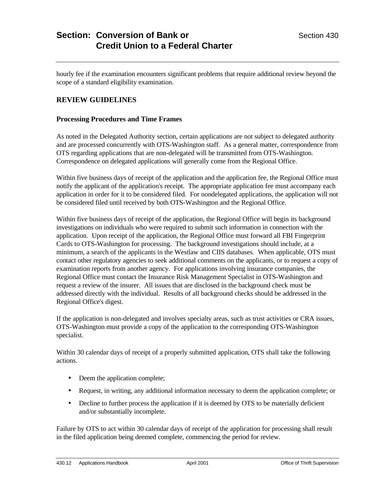hourly fee if the examination encounters significant problems that require additional review beyond the scope of a standard eligibility examination.

# **REVIEW GUIDELINES**

#### **Processing Procedures and Time Frames**

As noted in the Delegated Authority section, certain applications are not subject to delegated authority and are processed concurrently with OTS-Washington staff. As a general matter, correspondence from OTS regarding applications that are non-delegated will be transmitted from OTS-Washington. Correspondence on delegated applications will generally come from the Regional Office.

Within five business days of receipt of the application and the application fee, the Regional Office must notify the applicant of the application's receipt. The appropriate application fee must accompany each application in order for it to be considered filed. For nondelegated applications, the application will not be considered filed until received by both OTS-Washington and the Regional Office.

Within five business days of receipt of the application, the Regional Office will begin its background investigations on individuals who were required to submit such information in connection with the application. Upon receipt of the application, the Regional Office must forward all FBI Fingerprint Cards to OTS-Washington for processing. The background investigations should include, at a minimum, a search of the applicants in the Westlaw and CIIS databases. When applicable, OTS must contact other regulatory agencies to seek additional comments on the applicants, or to request a copy of examination reports from another agency. For applications involving insurance companies, the Regional Office must contact the Insurance Risk Management Specialist in OTS-Washington and request a review of the insurer. All issues that are disclosed in the background check must be addressed directly with the individual. Results of all background checks should be addressed in the Regional Office's digest.

If the application is non-delegated and involves specialty areas, such as trust activities or CRA issues, OTS-Washington must provide a copy of the application to the corresponding OTS-Washington specialist.

Within 30 calendar days of receipt of a properly submitted application, OTS shall take the following actions.

- Deem the application complete;
- Request, in writing, any additional information necessary to deem the application complete; or
- Decline to further process the application if it is deemed by OTS to be materially deficient and/or substantially incomplete.

Failure by OTS to act within 30 calendar days of receipt of the application for processing shall result in the filed application being deemed complete, commencing the period for review.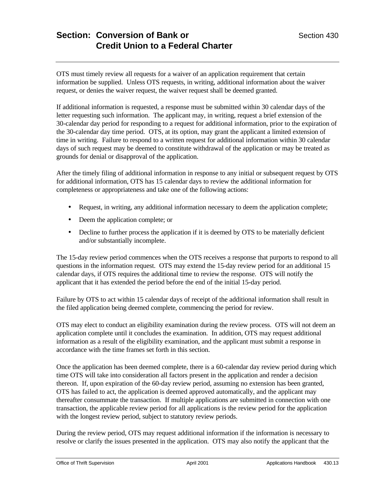OTS must timely review all requests for a waiver of an application requirement that certain information be supplied. Unless OTS requests, in writing, additional information about the waiver request, or denies the waiver request, the waiver request shall be deemed granted.

If additional information is requested, a response must be submitted within 30 calendar days of the letter requesting such information. The applicant may, in writing, request a brief extension of the 30-calendar day period for responding to a request for additional information, prior to the expiration of the 30-calendar day time period. OTS, at its option, may grant the applicant a limited extension of time in writing. Failure to respond to a written request for additional information within 30 calendar days of such request may be deemed to constitute withdrawal of the application or may be treated as grounds for denial or disapproval of the application.

After the timely filing of additional information in response to any initial or subsequent request by OTS for additional information, OTS has 15 calendar days to review the additional information for completeness or appropriateness and take one of the following actions:

- Request, in writing, any additional information necessary to deem the application complete;
- Deem the application complete; or
- Decline to further process the application if it is deemed by OTS to be materially deficient and/or substantially incomplete.

The 15-day review period commences when the OTS receives a response that purports to respond to all questions in the information request. OTS may extend the 15-day review period for an additional 15 calendar days, if OTS requires the additional time to review the response. OTS will notify the applicant that it has extended the period before the end of the initial 15-day period.

Failure by OTS to act within 15 calendar days of receipt of the additional information shall result in the filed application being deemed complete, commencing the period for review.

OTS may elect to conduct an eligibility examination during the review process. OTS will not deem an application complete until it concludes the examination. In addition, OTS may request additional information as a result of the eligibility examination, and the applicant must submit a response in accordance with the time frames set forth in this section.

Once the application has been deemed complete, there is a 60-calendar day review period during which time OTS will take into consideration all factors present in the application and render a decision thereon. If, upon expiration of the 60-day review period, assuming no extension has been granted, OTS has failed to act, the application is deemed approved automatically, and the applicant may thereafter consummate the transaction. If multiple applications are submitted in connection with one transaction, the applicable review period for all applications is the review period for the application with the longest review period, subject to statutory review periods.

During the review period, OTS may request additional information if the information is necessary to resolve or clarify the issues presented in the application. OTS may also notify the applicant that the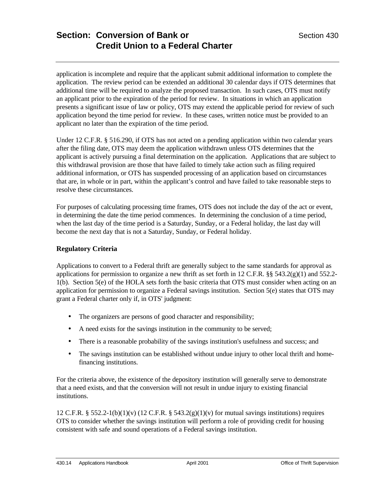application is incomplete and require that the applicant submit additional information to complete the application. The review period can be extended an additional 30 calendar days if OTS determines that additional time will be required to analyze the proposed transaction. In such cases, OTS must notify an applicant prior to the expiration of the period for review. In situations in which an application presents a significant issue of law or policy, OTS may extend the applicable period for review of such application beyond the time period for review. In these cases, written notice must be provided to an applicant no later than the expiration of the time period.

Under 12 C.F.R. § 516.290, if OTS has not acted on a pending application within two calendar years after the filing date, OTS may deem the application withdrawn unless OTS determines that the applicant is actively pursuing a final determination on the application. Applications that are subject to this withdrawal provision are those that have failed to timely take action such as filing required additional information, or OTS has suspended processing of an application based on circumstances that are, in whole or in part, within the applicant's control and have failed to take reasonable steps to resolve these circumstances.

For purposes of calculating processing time frames, OTS does not include the day of the act or event, in determining the date the time period commences. In determining the conclusion of a time period, when the last day of the time period is a Saturday, Sunday, or a Federal holiday, the last day will become the next day that is not a Saturday, Sunday, or Federal holiday.

### **Regulatory Criteria**

Applications to convert to a Federal thrift are generally subject to the same standards for approval as applications for permission to organize a new thrift as set forth in 12 C.F.R. §§ 543.2(g)(1) and 552.2-1(b). Section 5(e) of the HOLA sets forth the basic criteria that OTS must consider when acting on an application for permission to organize a Federal savings institution. Section 5(e) states that OTS may grant a Federal charter only if, in OTS' judgment:

- The organizers are persons of good character and responsibility;
- A need exists for the savings institution in the community to be served;
- There is a reasonable probability of the savings institution's usefulness and success; and
- The savings institution can be established without undue injury to other local thrift and homefinancing institutions.

For the criteria above, the existence of the depository institution will generally serve to demonstrate that a need exists, and that the conversion will not result in undue injury to existing financial institutions.

12 C.F.R. § 552.2-1(b)(1)(v) (12 C.F.R. § 543.2(g)(1)(v) for mutual savings institutions) requires OTS to consider whether the savings institution will perform a role of providing credit for housing consistent with safe and sound operations of a Federal savings institution.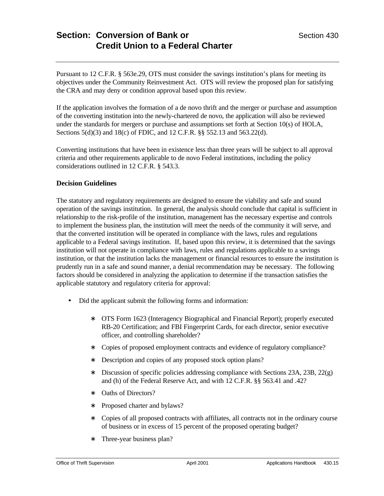Pursuant to 12 C.F.R. § 563e.29, OTS must consider the savings institution's plans for meeting its objectives under the Community Reinvestment Act. OTS will review the proposed plan for satisfying the CRA and may deny or condition approval based upon this review.

If the application involves the formation of a de novo thrift and the merger or purchase and assumption of the converting institution into the newly-chartered de novo, the application will also be reviewed under the standards for mergers or purchase and assumptions set forth at Section 10(s) of HOLA, Sections 5(d)(3) and 18(c) of FDIC, and 12 C.F.R. §§ 552.13 and 563.22(d).

Converting institutions that have been in existence less than three years will be subject to all approval criteria and other requirements applicable to de novo Federal institutions, including the policy considerations outlined in 12 C.F.R. § 543.3.

#### **Decision Guidelines**

The statutory and regulatory requirements are designed to ensure the viability and safe and sound operation of the savings institution. In general, the analysis should conclude that capital is sufficient in relationship to the risk-profile of the institution, management has the necessary expertise and controls to implement the business plan, the institution will meet the needs of the community it will serve, and that the converted institution will be operated in compliance with the laws, rules and regulations applicable to a Federal savings institution. If, based upon this review, it is determined that the savings institution will not operate in compliance with laws, rules and regulations applicable to a savings institution, or that the institution lacks the management or financial resources to ensure the institution is prudently run in a safe and sound manner, a denial recommendation may be necessary. The following factors should be considered in analyzing the application to determine if the transaction satisfies the applicable statutory and regulatory criteria for approval:

- Did the applicant submit the following forms and information:
	- ∗ OTS Form 1623 (Interagency Biographical and Financial Report); properly executed RB-20 Certification; and FBI Fingerprint Cards, for each director, senior executive officer, and controlling shareholder?
	- ∗ Copies of proposed employment contracts and evidence of regulatory compliance?
	- ∗ Description and copies of any proposed stock option plans?
	- ∗ Discussion of specific policies addressing compliance with Sections 23A, 23B, 22(g) and (h) of the Federal Reserve Act, and with 12 C.F.R. §§ 563.41 and .42?
	- ∗ Oaths of Directors?
	- ∗ Proposed charter and bylaws?
	- ∗ Copies of all proposed contracts with affiliates, all contracts not in the ordinary course of business or in excess of 15 percent of the proposed operating budget?
	- ∗ Three-year business plan?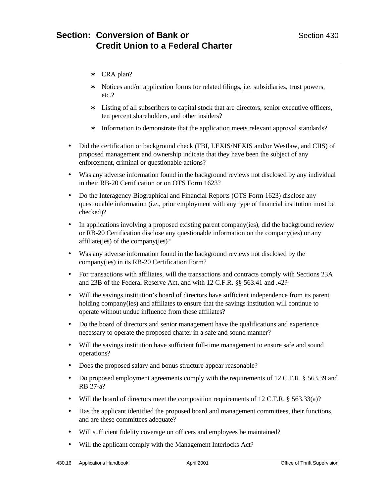- ∗ CRA plan?
- ∗ Notices and/or application forms for related filings, i.e. subsidiaries, trust powers, etc.?
- ∗ Listing of all subscribers to capital stock that are directors, senior executive officers, ten percent shareholders, and other insiders?
- ∗ Information to demonstrate that the application meets relevant approval standards?
- Did the certification or background check (FBI, LEXIS/NEXIS and/or Westlaw, and CIIS) of proposed management and ownership indicate that they have been the subject of any enforcement, criminal or questionable actions?
- Was any adverse information found in the background reviews not disclosed by any individual in their RB-20 Certification or on OTS Form 1623?
- Do the Interagency Biographical and Financial Reports (OTS Form 1623) disclose any questionable information (i.e., prior employment with any type of financial institution must be checked)?
- In applications involving a proposed existing parent company(ies), did the background review or RB-20 Certification disclose any questionable information on the company(ies) or any affiliate(ies) of the company(ies)?
- Was any adverse information found in the background reviews not disclosed by the company(ies) in its RB-20 Certification Form?
- For transactions with affiliates, will the transactions and contracts comply with Sections 23A and 23B of the Federal Reserve Act, and with 12 C.F.R. §§ 563.41 and .42?
- Will the savings institution's board of directors have sufficient independence from its parent holding company(ies) and affiliates to ensure that the savings institution will continue to operate without undue influence from these affiliates?
- Do the board of directors and senior management have the qualifications and experience necessary to operate the proposed charter in a safe and sound manner?
- Will the savings institution have sufficient full-time management to ensure safe and sound operations?
- Does the proposed salary and bonus structure appear reasonable?
- Do proposed employment agreements comply with the requirements of 12 C.F.R. § 563.39 and RB 27-a?
- Will the board of directors meet the composition requirements of 12 C.F.R. § 563.33(a)?
- Has the applicant identified the proposed board and management committees, their functions, and are these committees adequate?
- Will sufficient fidelity coverage on officers and employees be maintained?
- Will the applicant comply with the Management Interlocks Act?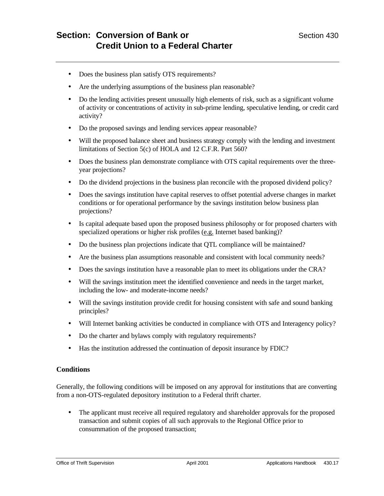- Does the business plan satisfy OTS requirements?
- Are the underlying assumptions of the business plan reasonable?
- Do the lending activities present unusually high elements of risk, such as a significant volume of activity or concentrations of activity in sub-prime lending, speculative lending, or credit card activity?
- Do the proposed savings and lending services appear reasonable?
- Will the proposed balance sheet and business strategy comply with the lending and investment limitations of Section 5(c) of HOLA and 12 C.F.R. Part 560?
- Does the business plan demonstrate compliance with OTS capital requirements over the threeyear projections?
- Do the dividend projections in the business plan reconcile with the proposed dividend policy?
- Does the savings institution have capital reserves to offset potential adverse changes in market conditions or for operational performance by the savings institution below business plan projections?
- Is capital adequate based upon the proposed business philosophy or for proposed charters with specialized operations or higher risk profiles (e.g. Internet based banking)?
- Do the business plan projections indicate that QTL compliance will be maintained?
- Are the business plan assumptions reasonable and consistent with local community needs?
- Does the savings institution have a reasonable plan to meet its obligations under the CRA?
- Will the savings institution meet the identified convenience and needs in the target market, including the low- and moderate-income needs?
- Will the savings institution provide credit for housing consistent with safe and sound banking principles?
- Will Internet banking activities be conducted in compliance with OTS and Interagency policy?
- Do the charter and bylaws comply with regulatory requirements?
- Has the institution addressed the continuation of deposit insurance by FDIC?

#### **Conditions**

Generally, the following conditions will be imposed on any approval for institutions that are converting from a non-OTS-regulated depository institution to a Federal thrift charter.

• The applicant must receive all required regulatory and shareholder approvals for the proposed transaction and submit copies of all such approvals to the Regional Office prior to consummation of the proposed transaction;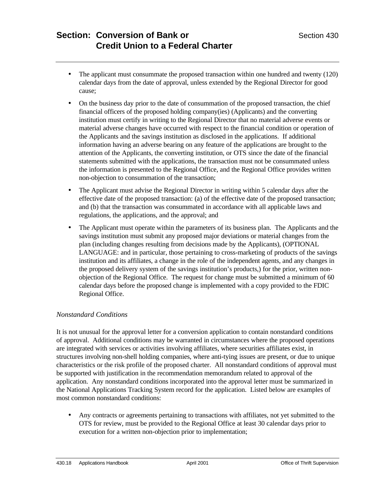- The applicant must consummate the proposed transaction within one hundred and twenty (120) calendar days from the date of approval, unless extended by the Regional Director for good cause;
- On the business day prior to the date of consummation of the proposed transaction, the chief financial officers of the proposed holding company(ies) (Applicants) and the converting institution must certify in writing to the Regional Director that no material adverse events or material adverse changes have occurred with respect to the financial condition or operation of the Applicants and the savings institution as disclosed in the applications. If additional information having an adverse bearing on any feature of the applications are brought to the attention of the Applicants, the converting institution, or OTS since the date of the financial statements submitted with the applications, the transaction must not be consummated unless the information is presented to the Regional Office, and the Regional Office provides written non-objection to consummation of the transaction;
- The Applicant must advise the Regional Director in writing within 5 calendar days after the effective date of the proposed transaction: (a) of the effective date of the proposed transaction; and (b) that the transaction was consummated in accordance with all applicable laws and regulations, the applications, and the approval; and
- The Applicant must operate within the parameters of its business plan. The Applicants and the savings institution must submit any proposed major deviations or material changes from the plan (including changes resulting from decisions made by the Applicants), (OPTIONAL LANGUAGE: and in particular, those pertaining to cross-marketing of products of the savings institution and its affiliates, a change in the role of the independent agents, and any changes in the proposed delivery system of the savings institution's products,) for the prior, written nonobjection of the Regional Office. The request for change must be submitted a minimum of 60 calendar days before the proposed change is implemented with a copy provided to the FDIC Regional Office.

### *Nonstandard Conditions*

It is not unusual for the approval letter for a conversion application to contain nonstandard conditions of approval. Additional conditions may be warranted in circumstances where the proposed operations are integrated with services or activities involving affiliates, where securities affiliates exist, in structures involving non-shell holding companies, where anti-tying issues are present, or due to unique characteristics or the risk profile of the proposed charter. All nonstandard conditions of approval must be supported with justification in the recommendation memorandum related to approval of the application. Any nonstandard conditions incorporated into the approval letter must be summarized in the National Applications Tracking System record for the application. Listed below are examples of most common nonstandard conditions:

• Any contracts or agreements pertaining to transactions with affiliates, not yet submitted to the OTS for review, must be provided to the Regional Office at least 30 calendar days prior to execution for a written non-objection prior to implementation;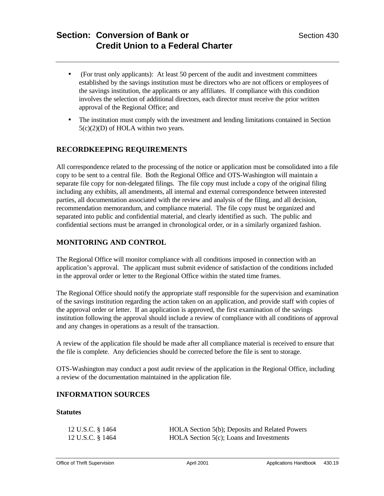- (For trust only applicants): At least 50 percent of the audit and investment committees established by the savings institution must be directors who are not officers or employees of the savings institution, the applicants or any affiliates. If compliance with this condition involves the selection of additional directors, each director must receive the prior written approval of the Regional Office; and
- The institution must comply with the investment and lending limitations contained in Section  $5(c)(2)(D)$  of HOLA within two years.

# **RECORDKEEPING REQUIREMENTS**

All correspondence related to the processing of the notice or application must be consolidated into a file copy to be sent to a central file. Both the Regional Office and OTS-Washington will maintain a separate file copy for non-delegated filings. The file copy must include a copy of the original filing including any exhibits, all amendments, all internal and external correspondence between interested parties, all documentation associated with the review and analysis of the filing, and all decision, recommendation memorandum, and compliance material. The file copy must be organized and separated into public and confidential material, and clearly identified as such. The public and confidential sections must be arranged in chronological order, or in a similarly organized fashion.

## **MONITORING AND CONTROL**

The Regional Office will monitor compliance with all conditions imposed in connection with an application's approval. The applicant must submit evidence of satisfaction of the conditions included in the approval order or letter to the Regional Office within the stated time frames.

The Regional Office should notify the appropriate staff responsible for the supervision and examination of the savings institution regarding the action taken on an application, and provide staff with copies of the approval order or letter. If an application is approved, the first examination of the savings institution following the approval should include a review of compliance with all conditions of approval and any changes in operations as a result of the transaction.

A review of the application file should be made after all compliance material is received to ensure that the file is complete. Any deficiencies should be corrected before the file is sent to storage.

OTS-Washington may conduct a post audit review of the application in the Regional Office, including a review of the documentation maintained in the application file.

## **INFORMATION SOURCES**

#### **Statutes**

| 12 U.S.C. § 1464 | HOLA Section 5(b); Deposits and Related Powers |
|------------------|------------------------------------------------|
| 12 U.S.C. § 1464 | HOLA Section $5(c)$ ; Loans and Investments    |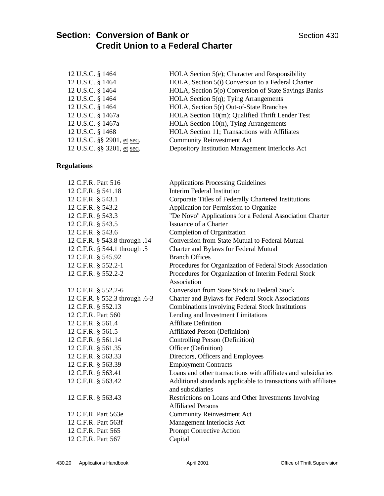| 12 U.S.C. § 1464<br>12 U.S.C. § 1464<br>12 U.S.C. § 1464<br>12 U.S.C. § 1464<br>12 U.S.C. § 1464<br>12 U.S.C. § 1467a<br>12 U.S.C. § 1467a<br>12 U.S.C. § 1468<br>12 U.S.C. §§ 2901, et seq.<br>12 U.S.C. §§ 3201, et seq. | HOLA Section 5(e); Character and Responsibility<br>HOLA, Section 5(i) Conversion to a Federal Charter<br>HOLA, Section 5(o) Conversion of State Savings Banks<br>HOLA Section 5(q); Tying Arrangements<br>HOLA, Section 5(r) Out-of-State Branches<br>HOLA Section 10(m); Qualified Thrift Lender Test<br>HOLA Section 10(n), Tying Arrangements<br>HOLA Section 11; Transactions with Affiliates<br><b>Community Reinvestment Act</b><br>Depository Institution Management Interlocks Act |
|----------------------------------------------------------------------------------------------------------------------------------------------------------------------------------------------------------------------------|--------------------------------------------------------------------------------------------------------------------------------------------------------------------------------------------------------------------------------------------------------------------------------------------------------------------------------------------------------------------------------------------------------------------------------------------------------------------------------------------|
| <b>Regulations</b>                                                                                                                                                                                                         |                                                                                                                                                                                                                                                                                                                                                                                                                                                                                            |
| 12 C.F.R. Part 516                                                                                                                                                                                                         | <b>Applications Processing Guidelines</b>                                                                                                                                                                                                                                                                                                                                                                                                                                                  |
| 12 C.F.R. § 541.18                                                                                                                                                                                                         | <b>Interim Federal Institution</b>                                                                                                                                                                                                                                                                                                                                                                                                                                                         |
| 12 C.F.R. § 543.1                                                                                                                                                                                                          | Corporate Titles of Federally Chartered Institutions                                                                                                                                                                                                                                                                                                                                                                                                                                       |
| 12 C.F.R. § 543.2                                                                                                                                                                                                          | Application for Permission to Organize                                                                                                                                                                                                                                                                                                                                                                                                                                                     |
| 12 C.F.R. § 543.3                                                                                                                                                                                                          | "De Novo" Applications for a Federal Association Charter                                                                                                                                                                                                                                                                                                                                                                                                                                   |
| 12 C.F.R. § 543.5                                                                                                                                                                                                          | <b>Issuance of a Charter</b>                                                                                                                                                                                                                                                                                                                                                                                                                                                               |
| 12 C.F.R. § 543.6                                                                                                                                                                                                          | Completion of Organization                                                                                                                                                                                                                                                                                                                                                                                                                                                                 |
| 12 C.F.R. § 543.8 through .14                                                                                                                                                                                              | Conversion from State Mutual to Federal Mutual                                                                                                                                                                                                                                                                                                                                                                                                                                             |
| 12 C.F.R. § 544.1 through .5                                                                                                                                                                                               | Charter and Bylaws for Federal Mutual                                                                                                                                                                                                                                                                                                                                                                                                                                                      |
| 12 C.F.R. § 545.92                                                                                                                                                                                                         | <b>Branch Offices</b>                                                                                                                                                                                                                                                                                                                                                                                                                                                                      |
| 12 C.F.R. § 552.2-1                                                                                                                                                                                                        | Procedures for Organization of Federal Stock Association                                                                                                                                                                                                                                                                                                                                                                                                                                   |
| 12 C.F.R. § 552.2-2                                                                                                                                                                                                        | Procedures for Organization of Interim Federal Stock<br>Association                                                                                                                                                                                                                                                                                                                                                                                                                        |
| 12 C.F.R. § 552.2-6                                                                                                                                                                                                        | <b>Conversion from State Stock to Federal Stock</b>                                                                                                                                                                                                                                                                                                                                                                                                                                        |
| 12 C.F.R. § 552.3 through .6-3                                                                                                                                                                                             | Charter and Bylaws for Federal Stock Associations                                                                                                                                                                                                                                                                                                                                                                                                                                          |
| 12 C.F.R. § 552.13                                                                                                                                                                                                         | Combinations involving Federal Stock Institutions                                                                                                                                                                                                                                                                                                                                                                                                                                          |
| 12 C.F.R. Part 560                                                                                                                                                                                                         | Lending and Investment Limitations                                                                                                                                                                                                                                                                                                                                                                                                                                                         |
| 12 C.F.R. § 561.4                                                                                                                                                                                                          | <b>Affiliate Definition</b>                                                                                                                                                                                                                                                                                                                                                                                                                                                                |
| 12 C.F.R. § 561.5                                                                                                                                                                                                          | <b>Affiliated Person (Definition)</b>                                                                                                                                                                                                                                                                                                                                                                                                                                                      |
| 12 C.F.R. § 561.14                                                                                                                                                                                                         | Controlling Person (Definition)                                                                                                                                                                                                                                                                                                                                                                                                                                                            |
| 12 C.F.R. § 561.35                                                                                                                                                                                                         | Officer (Definition)                                                                                                                                                                                                                                                                                                                                                                                                                                                                       |
| 12 C.F.R. § 563.33                                                                                                                                                                                                         | Directors, Officers and Employees                                                                                                                                                                                                                                                                                                                                                                                                                                                          |
| 12 C.F.R. § 563.39                                                                                                                                                                                                         | <b>Employment Contracts</b>                                                                                                                                                                                                                                                                                                                                                                                                                                                                |
| 12 C.F.R. § 563.41                                                                                                                                                                                                         | Loans and other transactions with affiliates and subsidiaries                                                                                                                                                                                                                                                                                                                                                                                                                              |
| 12 C.F.R. § 563.42                                                                                                                                                                                                         | Additional standards applicable to transactions with affiliates<br>and subsidiaries                                                                                                                                                                                                                                                                                                                                                                                                        |
| 12 C.F.R. § 563.43                                                                                                                                                                                                         | Restrictions on Loans and Other Investments Involving<br><b>Affiliated Persons</b>                                                                                                                                                                                                                                                                                                                                                                                                         |
| 12 C.F.R. Part 563e                                                                                                                                                                                                        | <b>Community Reinvestment Act</b>                                                                                                                                                                                                                                                                                                                                                                                                                                                          |
| 12 C.F.R. Part 563f                                                                                                                                                                                                        | Management Interlocks Act                                                                                                                                                                                                                                                                                                                                                                                                                                                                  |
| 12 C.F.R. Part 565                                                                                                                                                                                                         | Prompt Corrective Action                                                                                                                                                                                                                                                                                                                                                                                                                                                                   |
| 12 C.F.R. Part 567                                                                                                                                                                                                         | Capital                                                                                                                                                                                                                                                                                                                                                                                                                                                                                    |